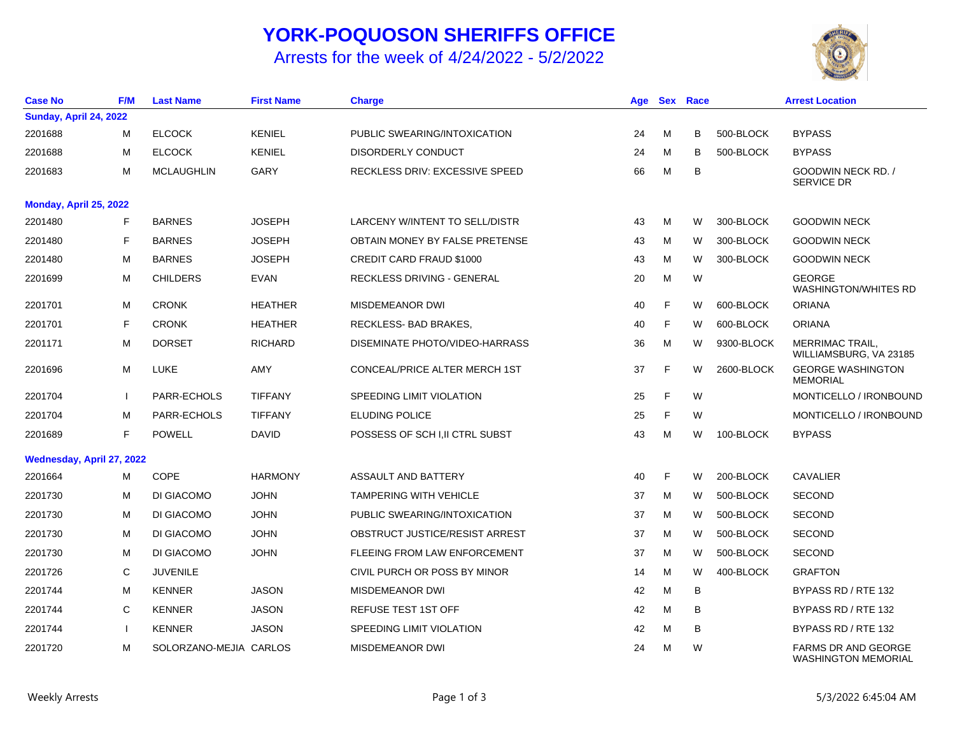## **YORK-POQUOSON SHERIFFS OFFICE**

Arrests for the week of 4/24/2022 - 5/2/2022



| <b>Case No</b>            | <b>F/M</b> | <b>Last Name</b>       | <b>First Name</b> | <b>Charge</b>                   | Age |   | <b>Sex Race</b> |            | <b>Arrest Location</b>                                   |
|---------------------------|------------|------------------------|-------------------|---------------------------------|-----|---|-----------------|------------|----------------------------------------------------------|
| Sunday, April 24, 2022    |            |                        |                   |                                 |     |   |                 |            |                                                          |
| 2201688                   | М          | <b>ELCOCK</b>          | <b>KENIEL</b>     | PUBLIC SWEARING/INTOXICATION    | 24  | м | В               | 500-BLOCK  | <b>BYPASS</b>                                            |
| 2201688                   | м          | <b>ELCOCK</b>          | <b>KENIEL</b>     | DISORDERLY CONDUCT              | 24  | м | в               | 500-BLOCK  | <b>BYPASS</b>                                            |
| 2201683                   | м          | <b>MCLAUGHLIN</b>      | GARY              | RECKLESS DRIV: EXCESSIVE SPEED  | 66  | M | B               |            | GOODWIN NECK RD. /<br><b>SERVICE DR</b>                  |
| Monday, April 25, 2022    |            |                        |                   |                                 |     |   |                 |            |                                                          |
| 2201480                   | F          | <b>BARNES</b>          | <b>JOSEPH</b>     | LARCENY W/INTENT TO SELL/DISTR  | 43  | M | W               | 300-BLOCK  | <b>GOODWIN NECK</b>                                      |
| 2201480                   | F          | <b>BARNES</b>          | <b>JOSEPH</b>     | OBTAIN MONEY BY FALSE PRETENSE  | 43  | M | W               | 300-BLOCK  | <b>GOODWIN NECK</b>                                      |
| 2201480                   | м          | <b>BARNES</b>          | <b>JOSEPH</b>     | <b>CREDIT CARD FRAUD \$1000</b> | 43  | M | W               | 300-BLOCK  | <b>GOODWIN NECK</b>                                      |
| 2201699                   | м          | <b>CHILDERS</b>        | EVAN              | RECKLESS DRIVING - GENERAL      | 20  | М | W               |            | <b>GEORGE</b><br><b>WASHINGTON/WHITES RD</b>             |
| 2201701                   | M          | <b>CRONK</b>           | <b>HEATHER</b>    | <b>MISDEMEANOR DWI</b>          | 40  | F | W               | 600-BLOCK  | <b>ORIANA</b>                                            |
| 2201701                   | F          | <b>CRONK</b>           | <b>HEATHER</b>    | RECKLESS-BAD BRAKES,            | 40  | F | W               | 600-BLOCK  | <b>ORIANA</b>                                            |
| 2201171                   | м          | <b>DORSET</b>          | <b>RICHARD</b>    | DISEMINATE PHOTO/VIDEO-HARRASS  | 36  | м | W               | 9300-BLOCK | <b>MERRIMAC TRAIL,</b><br>WILLIAMSBURG, VA 23185         |
| 2201696                   | м          | LUKE                   | AMY               | CONCEAL/PRICE ALTER MERCH 1ST   | 37  | E | W               | 2600-BLOCK | <b>GEORGE WASHINGTON</b><br><b>MEMORIAL</b>              |
| 2201704                   |            | PARR-ECHOLS            | <b>TIFFANY</b>    | SPEEDING LIMIT VIOLATION        | 25  | F | W               |            | MONTICELLO / IRONBOUND                                   |
| 2201704                   | м          | PARR-ECHOLS            | <b>TIFFANY</b>    | <b>ELUDING POLICE</b>           | 25  | F | W               |            | MONTICELLO / IRONBOUND                                   |
| 2201689                   | F          | <b>POWELL</b>          | <b>DAVID</b>      | POSSESS OF SCH I, II CTRL SUBST | 43  | м | W               | 100-BLOCK  | <b>BYPASS</b>                                            |
| Wednesday, April 27, 2022 |            |                        |                   |                                 |     |   |                 |            |                                                          |
| 2201664                   | M          | <b>COPE</b>            | <b>HARMONY</b>    | ASSAULT AND BATTERY             | 40  | F | W               | 200-BLOCK  | <b>CAVALIER</b>                                          |
| 2201730                   | M          | DI GIACOMO             | <b>JOHN</b>       | <b>TAMPERING WITH VEHICLE</b>   | 37  | M | W               | 500-BLOCK  | <b>SECOND</b>                                            |
| 2201730                   | м          | DI GIACOMO             | <b>JOHN</b>       | PUBLIC SWEARING/INTOXICATION    | 37  | М | W               | 500-BLOCK  | <b>SECOND</b>                                            |
| 2201730                   | м          | DI GIACOMO             | <b>JOHN</b>       | OBSTRUCT JUSTICE/RESIST ARREST  | 37  | M | W               | 500-BLOCK  | <b>SECOND</b>                                            |
| 2201730                   | М          | DI GIACOMO             | <b>JOHN</b>       | FLEEING FROM LAW ENFORCEMENT    | 37  | M | W               | 500-BLOCK  | <b>SECOND</b>                                            |
| 2201726                   | С          | <b>JUVENILE</b>        |                   | CIVIL PURCH OR POSS BY MINOR    | 14  | M | W               | 400-BLOCK  | <b>GRAFTON</b>                                           |
| 2201744                   | м          | <b>KENNER</b>          | <b>JASON</b>      | <b>MISDEMEANOR DWI</b>          | 42  | M | B               |            | BYPASS RD / RTE 132                                      |
| 2201744                   | C          | <b>KENNER</b>          | <b>JASON</b>      | <b>REFUSE TEST 1ST OFF</b>      | 42  | M | B               |            | BYPASS RD / RTE 132                                      |
| 2201744                   | ı          | <b>KENNER</b>          | <b>JASON</b>      | <b>SPEEDING LIMIT VIOLATION</b> | 42  | M | B               |            | BYPASS RD / RTE 132                                      |
| 2201720                   | м          | SOLORZANO-MEJIA CARLOS |                   | MISDEMEANOR DWI                 | 24  | M | W               |            | <b>FARMS DR AND GEORGE</b><br><b>WASHINGTON MEMORIAL</b> |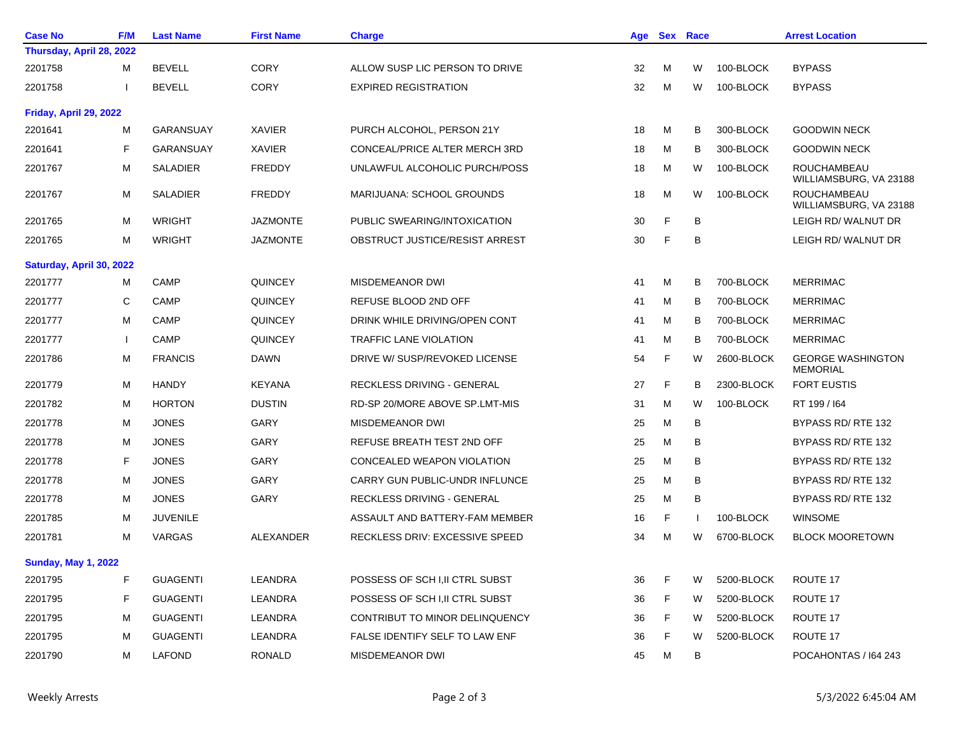| <b>Case No</b>             | <b>F/M</b>             | <b>Last Name</b> | <b>First Name</b> | <b>Charge</b>                         | Age |    | <b>Sex Race</b> |            | <b>Arrest Location</b>                       |  |
|----------------------------|------------------------|------------------|-------------------|---------------------------------------|-----|----|-----------------|------------|----------------------------------------------|--|
| Thursday, April 28, 2022   |                        |                  |                   |                                       |     |    |                 |            |                                              |  |
| 2201758                    | M                      | <b>BEVELL</b>    | <b>CORY</b>       | ALLOW SUSP LIC PERSON TO DRIVE        | 32  | M  | W               | 100-BLOCK  | <b>BYPASS</b>                                |  |
| 2201758                    | ı                      | <b>BEVELL</b>    | <b>CORY</b>       | <b>EXPIRED REGISTRATION</b>           | 32  | М  | W               | 100-BLOCK  | <b>BYPASS</b>                                |  |
|                            | Friday, April 29, 2022 |                  |                   |                                       |     |    |                 |            |                                              |  |
| 2201641                    | M                      | GARANSUAY        | <b>XAVIER</b>     | PURCH ALCOHOL, PERSON 21Y             | 18  | М  | в               | 300-BLOCK  | <b>GOODWIN NECK</b>                          |  |
| 2201641                    | F                      | <b>GARANSUAY</b> | <b>XAVIER</b>     | <b>CONCEAL/PRICE ALTER MERCH 3RD</b>  | 18  | М  | B               | 300-BLOCK  | <b>GOODWIN NECK</b>                          |  |
| 2201767                    | м                      | <b>SALADIER</b>  | <b>FREDDY</b>     | UNLAWFUL ALCOHOLIC PURCH/POSS         | 18  | М  | W               | 100-BLOCK  | <b>ROUCHAMBEAU</b><br>WILLIAMSBURG, VA 23188 |  |
| 2201767                    | М                      | <b>SALADIER</b>  | <b>FREDDY</b>     | MARIJUANA: SCHOOL GROUNDS             | 18  | M  | W               | 100-BLOCK  | ROUCHAMBEAU<br>WILLIAMSBURG, VA 23188        |  |
| 2201765                    | М                      | <b>WRIGHT</b>    | <b>JAZMONTE</b>   | PUBLIC SWEARING/INTOXICATION          | 30  | F  | B               |            | LEIGH RD/ WALNUT DR                          |  |
| 2201765                    | м                      | <b>WRIGHT</b>    | <b>JAZMONTE</b>   | OBSTRUCT JUSTICE/RESIST ARREST        | 30  | F  | B               |            | LEIGH RD/ WALNUT DR                          |  |
| Saturday, April 30, 2022   |                        |                  |                   |                                       |     |    |                 |            |                                              |  |
| 2201777                    | M                      | <b>CAMP</b>      | <b>QUINCEY</b>    | <b>MISDEMEANOR DWI</b>                | 41  | м  | в               | 700-BLOCK  | <b>MERRIMAC</b>                              |  |
| 2201777                    | C                      | <b>CAMP</b>      | <b>QUINCEY</b>    | REFUSE BLOOD 2ND OFF                  | 41  | м  | в               | 700-BLOCK  | <b>MERRIMAC</b>                              |  |
| 2201777                    | м                      | CAMP             | <b>QUINCEY</b>    | DRINK WHILE DRIVING/OPEN CONT         | 41  | м  | B               | 700-BLOCK  | <b>MERRIMAC</b>                              |  |
| 2201777                    | $\mathbf{I}$           | <b>CAMP</b>      | <b>QUINCEY</b>    | <b>TRAFFIC LANE VIOLATION</b>         | 41  | м  | в               | 700-BLOCK  | <b>MERRIMAC</b>                              |  |
| 2201786                    | M                      | <b>FRANCIS</b>   | <b>DAWN</b>       | DRIVE W/ SUSP/REVOKED LICENSE         | 54  | F  | W               | 2600-BLOCK | <b>GEORGE WASHINGTON</b><br><b>MEMORIAL</b>  |  |
| 2201779                    | М                      | <b>HANDY</b>     | <b>KEYANA</b>     | RECKLESS DRIVING - GENERAL            | 27  | F  | B               | 2300-BLOCK | <b>FORT EUSTIS</b>                           |  |
| 2201782                    | М                      | <b>HORTON</b>    | <b>DUSTIN</b>     | RD-SP 20/MORE ABOVE SP.LMT-MIS        | 31  | м  | W               | 100-BLOCK  | RT 199 / 164                                 |  |
| 2201778                    | М                      | <b>JONES</b>     | <b>GARY</b>       | <b>MISDEMEANOR DWI</b>                | 25  | м  | B               |            | BYPASS RD/RTE 132                            |  |
| 2201778                    | М                      | <b>JONES</b>     | GARY              | REFUSE BREATH TEST 2ND OFF            | 25  | м  | B               |            | BYPASS RD/RTE 132                            |  |
| 2201778                    | F                      | <b>JONES</b>     | <b>GARY</b>       | CONCEALED WEAPON VIOLATION            | 25  | M  | в               |            | BYPASS RD/RTE 132                            |  |
| 2201778                    | M                      | <b>JONES</b>     | GARY              | CARRY GUN PUBLIC-UNDR INFLUNCE        | 25  | м  | в               |            | BYPASS RD/RTE 132                            |  |
| 2201778                    | М                      | <b>JONES</b>     | <b>GARY</b>       | RECKLESS DRIVING - GENERAL            | 25  | м  | B               |            | BYPASS RD/RTE 132                            |  |
| 2201785                    | М                      | <b>JUVENILE</b>  |                   | ASSAULT AND BATTERY-FAM MEMBER        | 16  | F  |                 | 100-BLOCK  | <b>WINSOME</b>                               |  |
| 2201781                    | M                      | <b>VARGAS</b>    | ALEXANDER         | <b>RECKLESS DRIV: EXCESSIVE SPEED</b> | 34  | м  | W               | 6700-BLOCK | <b>BLOCK MOORETOWN</b>                       |  |
| <b>Sunday, May 1, 2022</b> |                        |                  |                   |                                       |     |    |                 |            |                                              |  |
| 2201795                    | F                      | <b>GUAGENTI</b>  | LEANDRA           | POSSESS OF SCH I, II CTRL SUBST       | 36  | F  | W               | 5200-BLOCK | ROUTE 17                                     |  |
| 2201795                    | F                      | <b>GUAGENTI</b>  | LEANDRA           | POSSESS OF SCH I,II CTRL SUBST        | 36  | F  | W               | 5200-BLOCK | ROUTE 17                                     |  |
| 2201795                    | M                      | <b>GUAGENTI</b>  | LEANDRA           | CONTRIBUT TO MINOR DELINQUENCY        | 36  | F. | W               | 5200-BLOCK | ROUTE 17                                     |  |
| 2201795                    | M                      | <b>GUAGENTI</b>  | LEANDRA           | FALSE IDENTIFY SELF TO LAW ENF        | 36  | F. | W               | 5200-BLOCK | ROUTE 17                                     |  |
| 2201790                    | M                      | LAFOND           | RONALD            | MISDEMEANOR DWI                       | 45  | M  | В               |            | POCAHONTAS / 164 243                         |  |